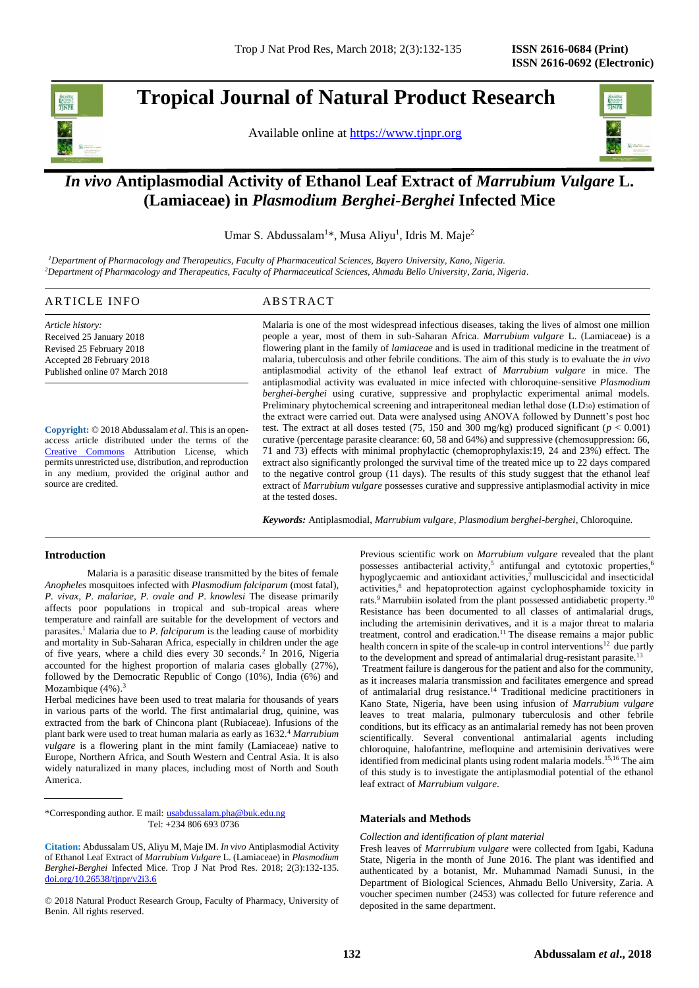## **Tropical Journal of Natural Product Research**

Available online at [https://www.tjnpr.org](https://www.tjnpr.org/)



### *In vivo* **Antiplasmodial Activity of Ethanol Leaf Extract of** *Marrubium Vulgare* **L. (Lamiaceae) in** *Plasmodium Berghei-Berghei* **Infected Mice**

Umar S. Abdussalam<sup>1\*</sup>, Musa Aliyu<sup>1</sup>, Idris M. Maje<sup>2</sup>

*<sup>1</sup>Department of Pharmacology and Therapeutics, Faculty of Pharmaceutical Sciences, Bayero University, Kano, Nigeria. <sup>2</sup>Department of Pharmacology and Therapeutics, Faculty of Pharmaceutical Sciences, Ahmadu Bello University, Zaria, Nigeria.*

### ARTICLE INFO ABSTRACT

*Article history:* Received 25 January 2018 Revised 25 February 2018 Accepted 28 February 2018 Published online 07 March 2018

**Copyright:** © 2018 Abdussalam *et al*. This is an openaccess article distributed under the terms of the [Creative Commons](https://creativecommons.org/licenses/by/4.0/) Attribution License, which permits unrestricted use, distribution, and reproduction in any medium, provided the original author and source are credited.

Malaria is one of the most widespread infectious diseases, taking the lives of almost one million people a year, most of them in sub-Saharan Africa. *Marrubium vulgare* L. (Lamiaceae) is a flowering plant in the family of *lamiaceae* and is used in traditional medicine in the treatment of malaria, tuberculosis and other febrile conditions. The aim of this study is to evaluate the *in vivo* antiplasmodial activity of the ethanol leaf extract of *Marrubium vulgare* in mice. The antiplasmodial activity was evaluated in mice infected with chloroquine-sensitive *Plasmodium berghei-berghei* using curative, suppressive and prophylactic experimental animal models. Preliminary phytochemical screening and intraperitoneal median lethal dose (LD<sub>50</sub>) estimation of the extract were carried out. Data were analysed using ANOVA followed by Dunnett's post hoc test. The extract at all doses tested (75, 150 and 300 mg/kg) produced significant ( $p < 0.001$ ) curative (percentage parasite clearance: 60, 58 and 64%) and suppressive (chemosuppression: 66, 71 and 73) effects with minimal prophylactic (chemoprophylaxis:19, 24 and 23%) effect. The extract also significantly prolonged the survival time of the treated mice up to 22 days compared to the negative control group (11 days). The results of this study suggest that the ethanol leaf extract of *Marrubium vulgare* possesses curative and suppressive antiplasmodial activity in mice at the tested doses.

*Keywords:* Antiplasmodial, *Marrubium vulgare, Plasmodium berghei-berghei*, Chloroquine.

#### **Introduction**

Malaria is a parasitic disease transmitted by the bites of female *Anopheles* mosquitoes infected with *Plasmodium falciparum* (most fatal), *P. vivax, P. malariae, P. ovale and P*. *knowlesi* The disease primarily affects poor populations in tropical and sub-tropical areas where temperature and rainfall are suitable for the development of vectors and parasites.<sup>1</sup> Malaria due to *P*. *falciparum* is the leading cause of morbidity and mortality in Sub-Saharan Africa, especially in children under the age of five years, where a child dies every 30 seconds.<sup>2</sup> In 2016, Nigeria accounted for the highest proportion of malaria cases globally  $(27\%)$ , followed by the Democratic Republic of Congo (10%), India (6%) and Mozambique  $(4\%)$ .<sup>3</sup>

Herbal medicines have been used to treat malaria for thousands of years in various parts of the world. The first antimalarial drug, quinine, was extracted from the bark of Chincona plant (Rubiaceae). Infusions of the plant bark were used to treat human malaria as early as 1632.<sup>4</sup> *Marrubium vulgare* is a flowering plant in the mint family (Lamiaceae) native to Europe, Northern Africa, and South Western and Central Asia. It is also widely naturalized in many places, including most of North and South America.

\*Corresponding author. E mail: [usabdussalam.pha@buk.edu.ng](mailto:usabdussalam.pha@buk.edu.ng) Tel: +234 806 693 0736

© 2018 Natural Product Research Group, Faculty of Pharmacy, University of Benin. All rights reserved.

Previous scientific work on *Marrubium vulgare* revealed that the plant possesses antibacterial activity,<sup>5</sup> antifungal and cytotoxic properties,<sup>6</sup> hypoglycaemic and antioxidant activities,<sup>7</sup> mulluscicidal and insecticidal activities,<sup>8</sup> and hepatoprotection against cyclophosphamide toxicity in rats.<sup>9</sup> Marrubiin isolated from the plant possessed antidiabetic property.<sup>10</sup> Resistance has been documented to all classes of antimalarial drugs, including the artemisinin derivatives, and it is a major threat to malaria treatment, control and eradication.<sup>11</sup> The disease remains a major public health concern in spite of the scale-up in control interventions<sup>12</sup> due partly to the development and spread of antimalarial drug-resistant parasite.<sup>13</sup>

Treatment failure is dangerous for the patient and also for the community, as it increases malaria transmission and facilitates emergence and spread of antimalarial drug resistance.<sup>14</sup> Traditional medicine practitioners in Kano State, Nigeria, have been using infusion of *Marrubium vulgare*  leaves to treat malaria, pulmonary tuberculosis and other febrile conditions, but its efficacy as an antimalarial remedy has not been proven scientifically. Several conventional antimalarial agents including chloroquine, halofantrine, mefloquine and artemisinin derivatives were identified from medicinal plants using rodent malaria models. 15,16 The aim of this study is to investigate the antiplasmodial potential of the ethanol leaf extract of *Marrubium vulgare*.

#### **Materials and Methods**

#### *Collection and identification of plant material*

Fresh leaves of *Marrrubium vulgare* were collected from Igabi, Kaduna State, Nigeria in the month of June 2016. The plant was identified and authenticated by a botanist, Mr. Muhammad Namadi Sunusi, in the Department of Biological Sciences, Ahmadu Bello University, Zaria. A voucher specimen number (2453) was collected for future reference and deposited in the same department.

**Citation:** Abdussalam US, Aliyu M, Maje IM. *In vivo* Antiplasmodial Activity of Ethanol Leaf Extract of *Marrubium Vulgare* L. (Lamiaceae) in *Plasmodium Berghei-Berghei* Infected Mice. Trop J Nat Prod Res. 2018; 2(3):132-135. [doi.org/10.26538/tjnpr/v2i3.6](http://www.doi.org/10.26538/tjnpr/v1i4.5)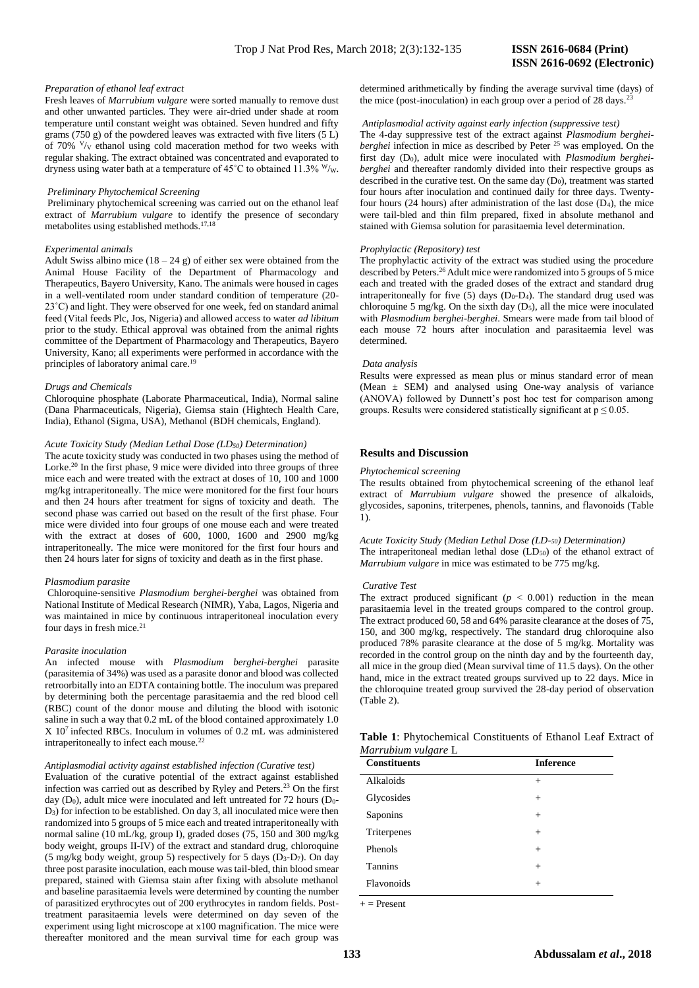# **ISSN 2616-0692 (Electronic)**

#### *Preparation of ethanol leaf extract*

Fresh leaves of *Marrubium vulgare* were sorted manually to remove dust and other unwanted particles. They were air-dried under shade at room temperature until constant weight was obtained. Seven hundred and fifty grams (750 g) of the powdered leaves was extracted with five liters (5 L) of 70%  $V/v$  ethanol using cold maceration method for two weeks with regular shaking. The extract obtained was concentrated and evaporated to dryness using water bath at a temperature of  $45^{\circ}$ C to obtained 11.3% W/w.

#### *Preliminary Phytochemical Screening*

Preliminary phytochemical screening was carried out on the ethanol leaf extract of *Marrubium vulgare* to identify the presence of secondary metabolites using established methods.<sup>17,18</sup>

#### *Experimental animals*

Adult Swiss albino mice  $(18 - 24 g)$  of either sex were obtained from the Animal House Facility of the Department of Pharmacology and Therapeutics, Bayero University, Kano. The animals were housed in cages in a well-ventilated room under standard condition of temperature (20- 23˚C) and light. They were observed for one week, fed on standard animal feed (Vital feeds Plc, Jos, Nigeria) and allowed access to water *ad libitum* prior to the study. Ethical approval was obtained from the animal rights committee of the Department of Pharmacology and Therapeutics, Bayero University, Kano; all experiments were performed in accordance with the principles of laboratory animal care.<sup>19</sup>

#### *Drugs and Chemicals*

Chloroquine phosphate (Laborate Pharmaceutical, India), Normal saline (Dana Pharmaceuticals, Nigeria), Giemsa stain (Hightech Health Care, India), Ethanol (Sigma, USA), Methanol (BDH chemicals, England).

#### *Acute Toxicity Study (Median Lethal Dose (LD50) Determination)*

The acute toxicity study was conducted in two phases using the method of Lorke.<sup>20</sup> In the first phase, 9 mice were divided into three groups of three mice each and were treated with the extract at doses of 10, 100 and 1000 mg/kg intraperitoneally. The mice were monitored for the first four hours and then 24 hours after treatment for signs of toxicity and death. The second phase was carried out based on the result of the first phase. Four mice were divided into four groups of one mouse each and were treated with the extract at doses of 600, 1000, 1600 and 2900 mg/kg intraperitoneally. The mice were monitored for the first four hours and then 24 hours later for signs of toxicity and death as in the first phase.

#### *Plasmodium parasite*

Chloroquine-sensitive *Plasmodium berghei-berghei* was obtained from National Institute of Medical Research (NIMR), Yaba, Lagos, Nigeria and was maintained in mice by continuous intraperitoneal inoculation every four days in fresh mice.<sup>21</sup>

#### *Parasite inoculation*

An infected mouse with *Plasmodium berghei-berghei* parasite (parasitemia of 34%) was used as a parasite donor and blood was collected retroorbitally into an EDTA containing bottle. The inoculum was prepared by determining both the percentage parasitaemia and the red blood cell (RBC) count of the donor mouse and diluting the blood with isotonic saline in such a way that 0.2 mL of the blood contained approximately 1.0  $X$  10<sup>7</sup> infected RBCs. Inoculum in volumes of 0.2 mL was administered intraperitoneally to infect each mouse.<sup>22</sup>

#### *Antiplasmodial activity against established infection (Curative test)*

Evaluation of the curative potential of the extract against established infection was carried out as described by Ryley and Peters.<sup>23</sup> On the first day ( $D_0$ ), adult mice were inoculated and left untreated for 72 hours ( $D_0$ -D3) for infection to be established. On day 3, all inoculated mice were then randomized into 5 groups of 5 mice each and treated intraperitoneally with normal saline (10 mL/kg, group I), graded doses (75, 150 and 300 mg/kg body weight, groups II-IV) of the extract and standard drug, chloroquine (5 mg/kg body weight, group 5) respectively for 5 days ( $\overline{D_3}$ - $\overline{D_7}$ ). On day three post parasite inoculation, each mouse was tail-bled, thin blood smear prepared, stained with Giemsa stain after fixing with absolute methanol and baseline parasitaemia levels were determined by counting the number of parasitized erythrocytes out of 200 erythrocytes in random fields. Posttreatment parasitaemia levels were determined on day seven of the experiment using light microscope at x100 magnification. The mice were thereafter monitored and the mean survival time for each group was

determined arithmetically by finding the average survival time (days) of the mice (post-inoculation) in each group over a period of  $28 \text{ days}$ .<sup>2</sup>

#### *Antiplasmodial activity against early infection (suppressive test)*

The 4-day suppressive test of the extract against *Plasmodium bergheiberghei* infection in mice as described by Peter<sup>25</sup> was employed. On the first day (D0), adult mice were inoculated with *Plasmodium bergheiberghei* and thereafter randomly divided into their respective groups as described in the curative test. On the same day  $(D_0)$ , treatment was started four hours after inoculation and continued daily for three days. Twentyfour hours (24 hours) after administration of the last dose  $(D_4)$ , the mice were tail-bled and thin film prepared, fixed in absolute methanol and stained with Giemsa solution for parasitaemia level determination.

#### *Prophylactic (Repository) test*

The prophylactic activity of the extract was studied using the procedure described by Peters.<sup>26</sup> Adult mice were randomized into 5 groups of 5 mice each and treated with the graded doses of the extract and standard drug intraperitoneally for five  $(5)$  days  $(D_0-D_4)$ . The standard drug used was chloroquine 5 mg/kg. On the sixth day  $(D_5)$ , all the mice were inoculated with *Plasmodium berghei-berghei*. Smears were made from tail blood of each mouse 72 hours after inoculation and parasitaemia level was determined.

#### *Data analysis*

Results were expressed as mean plus or minus standard error of mean (Mean ± SEM) and analysed using One-way analysis of variance (ANOVA) followed by Dunnett's post hoc test for comparison among groups. Results were considered statistically significant at  $p \le 0.05$ .

#### **Results and Discussion**

#### *Phytochemical screening*

The results obtained from phytochemical screening of the ethanol leaf extract of *Marrubium vulgare* showed the presence of alkaloids, glycosides, saponins, triterpenes, phenols, tannins, and flavonoids (Table 1).

*Acute Toxicity Study (Median Lethal Dose (LD-50) Determination)*  The intraperitoneal median lethal dose (LD<sub>50</sub>) of the ethanol extract of *Marrubium vulgare* in mice was estimated to be 775 mg/kg.

#### *Curative Test*

The extract produced significant  $(p < 0.001)$  reduction in the mean parasitaemia level in the treated groups compared to the control group. The extract produced 60, 58 and 64% parasite clearance at the doses of 75, 150, and 300 mg/kg, respectively. The standard drug chloroquine also produced 78% parasite clearance at the dose of 5 mg/kg. Mortality was recorded in the control group on the ninth day and by the fourteenth day, all mice in the group died (Mean survival time of 11.5 days). On the other hand, mice in the extract treated groups survived up to 22 days. Mice in the chloroquine treated group survived the 28-day period of observation (Table 2).

| <b>Table 1:</b> Phytochemical Constituents of Ethanol Leaf Extract of |  |  |  |
|-----------------------------------------------------------------------|--|--|--|
| Marrubium vulgare L                                                   |  |  |  |

| <b>Inference</b> |
|------------------|
| $^{+}$           |
| $^{+}$           |
| $^{+}$           |
| $^{+}$           |
| $^{+}$           |
| $^{+}$           |
| $^{+}$           |
|                  |

 $+$  = Present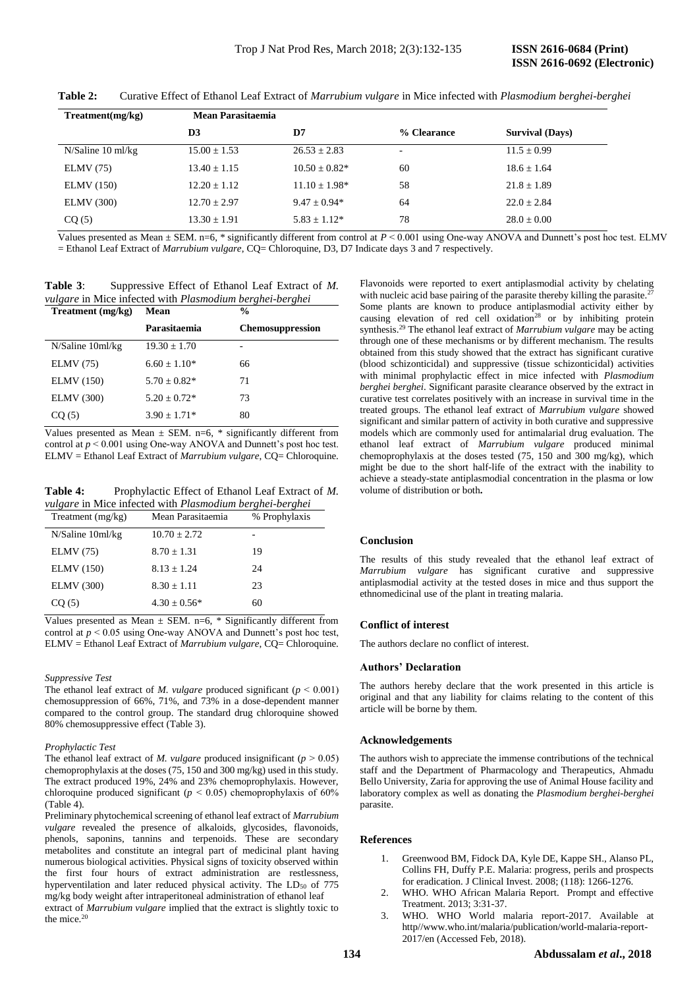| Treatment(mg/kg)  | Mean Parasitaemia |                    |             |                        |
|-------------------|-------------------|--------------------|-------------|------------------------|
|                   | D3                | D7                 | % Clearance | <b>Survival (Days)</b> |
| N/Saline 10 ml/kg | $15.00 \pm 1.53$  | $26.53 \pm 2.83$   | ٠           | $11.5 \pm 0.99$        |
| ELMV(75)          | $13.40 \pm 1.15$  | $10.50 \pm 0.82^*$ | 60          | $18.6 \pm 1.64$        |
| <b>ELMV</b> (150) | $12.20 + 1.12$    | $11.10 \pm 1.98^*$ | 58          | $21.8 \pm 1.89$        |
| <b>ELMV</b> (300) | $12.70 \pm 2.97$  | $9.47 + 0.94*$     | 64          | $22.0 + 2.84$          |
| CQ(5)             | $13.30 \pm 1.91$  | $5.83 \pm 1.12^*$  | 78          | $28.0 \pm 0.00$        |

**Table 2:** Curative Effect of Ethanol Leaf Extract of *Marrubium vulgare* in Mice infected with *Plasmodium berghei-berghei*

Values presented as Mean ± SEM. n=6, \* significantly different from control at *P* ˂ 0.001 using One-way ANOVA and Dunnett's post hoc test. ELMV = Ethanol Leaf Extract of *Marrubium vulgare*, CQ= Chloroquine, D3, D7 Indicate days 3 and 7 respectively.

**Table 3**: Suppressive Effect of Ethanol Leaf Extract of *M. vulgare* in Mice infected with *Plasmodium berghei-berghei*

| Treatment (mg/kg) | Mean             | $\frac{0}{0}$           |  |  |
|-------------------|------------------|-------------------------|--|--|
|                   | Parasitaemia     | <b>Chemosuppression</b> |  |  |
| N/Saline 10ml/kg  | $19.30 + 1.70$   | -                       |  |  |
| <b>ELMV</b> (75)  | $6.60 \pm 1.10*$ | 66                      |  |  |
| <b>ELMV</b> (150) | $5.70 + 0.82*$   | 71                      |  |  |
| <b>ELMV</b> (300) | $5.20 + 0.72*$   | 73                      |  |  |
| CO(5)             | $3.90 + 1.71*$   | 80                      |  |  |

Values presented as Mean  $\pm$  SEM. n=6, \* significantly different from control at  $p \le 0.001$  using One-way ANOVA and Dunnett's post hoc test. ELMV = Ethanol Leaf Extract of *Marrubium vulgare*, CQ= Chloroquine.

Table 4: Prophylactic Effect of Ethanol Leaf Extract of *M*. *vulgare* in Mice infected with *Plasmodium berghei-berghei*

| Treatment $(mg/kg)$ | Mean Parasitaemia | % Prophylaxis |
|---------------------|-------------------|---------------|
| N/Saline 10ml/kg    | $10.70 \pm 2.72$  |               |
| ELMV(75)            | $8.70 + 1.31$     | 19            |
| <b>ELMV</b> (150)   | $8.13 + 1.24$     | 24            |
| <b>ELMV</b> (300)   | $8.30 \pm 1.11$   | 23            |
| CO(5)               | $4.30 \pm 0.56^*$ | 60            |

Values presented as Mean  $\pm$  SEM. n=6, \* Significantly different from control at  $p < 0.05$  using One-way ANOVA and Dunnett's post hoc test, ELMV = Ethanol Leaf Extract of *Marrubium vulgare*, CQ= Chloroquine.

#### *Suppressive Test*

The ethanol leaf extract of *M. vulgare* produced significant ( $p < 0.001$ ) chemosuppression of 66%, 71%, and 73% in a dose-dependent manner compared to the control group. The standard drug chloroquine showed 80% chemosuppressive effect (Table 3).

#### *Prophylactic Test*

The ethanol leaf extract of *M. vulgare* produced insignificant ( $p > 0.05$ ) chemoprophylaxis at the doses (75, 150 and 300 mg/kg) used in this study. The extract produced 19%, 24% and 23% chemoprophylaxis. However, chloroquine produced significant ( $p < 0.05$ ) chemoprophylaxis of 60% (Table 4).

Preliminary phytochemical screening of ethanol leaf extract of *Marrubium vulgare* revealed the presence of alkaloids, glycosides, flavonoids, phenols, saponins, tannins and terpenoids. These are secondary metabolites and constitute an integral part of medicinal plant having numerous biological activities. Physical signs of toxicity observed within the first four hours of extract administration are restlessness, hyperventilation and later reduced physical activity. The LD<sub>50</sub> of 775 mg/kg body weight after intraperitoneal administration of ethanol leaf extract of *Marrubium vulgare* implied that the extract is slightly toxic to the mice.<sup>20</sup>

Flavonoids were reported to exert antiplasmodial activity by chelating with nucleic acid base pairing of the parasite thereby killing the parasite.<sup>2</sup> Some plants are known to produce antiplasmodial activity either by causing elevation of red cell oxidation<sup>28</sup> or by inhibiting protein synthesis. <sup>29</sup> The ethanol leaf extract of *Marrubium vulgare* may be acting through one of these mechanisms or by different mechanism. The results obtained from this study showed that the extract has significant curative (blood schizonticidal) and suppressive (tissue schizonticidal) activities with minimal prophylactic effect in mice infected with *Plasmodium berghei berghei*. Significant parasite clearance observed by the extract in curative test correlates positively with an increase in survival time in the treated groups. The ethanol leaf extract of *Marrubium vulgare* showed significant and similar pattern of activity in both curative and suppressive models which are commonly used for antimalarial drug evaluation. The ethanol leaf extract of *Marrubium vulgare* produced minimal chemoprophylaxis at the doses tested (75, 150 and 300 mg/kg), which might be due to the short half-life of the extract with the inability to achieve a steady-state antiplasmodial concentration in the plasma or low volume of distribution or both**.**

#### **Conclusion**

The results of this study revealed that the ethanol leaf extract of *Marrubium vulgare* has significant curative and suppressive antiplasmodial activity at the tested doses in mice and thus support the ethnomedicinal use of the plant in treating malaria.

#### **Conflict of interest**

The authors declare no conflict of interest.

#### **Authors' Declaration**

The authors hereby declare that the work presented in this article is original and that any liability for claims relating to the content of this article will be borne by them.

#### **Acknowledgements**

The authors wish to appreciate the immense contributions of the technical staff and the Department of Pharmacology and Therapeutics, Ahmadu Bello University, Zaria for approving the use of Animal House facility and laboratory complex as well as donating the *Plasmodium berghei-berghei* parasite.

#### **References**

- 1. Greenwood BM, Fidock DA, Kyle DE, Kappe SH., Alanso PL, Collins FH, Duffy P.E. Malaria: progress, perils and prospects for eradication. J Clinical Invest*.* 2008; (118): 1266-1276.
- WHO. WHO African Malaria Report. Prompt and effective Treatment. 2013; 3:31-37.
- 3. WHO. WHO World malaria report-2017. Available at http//www.who.int/malaria/publication/world-malaria-report-2017/en (Accessed Feb, 2018).